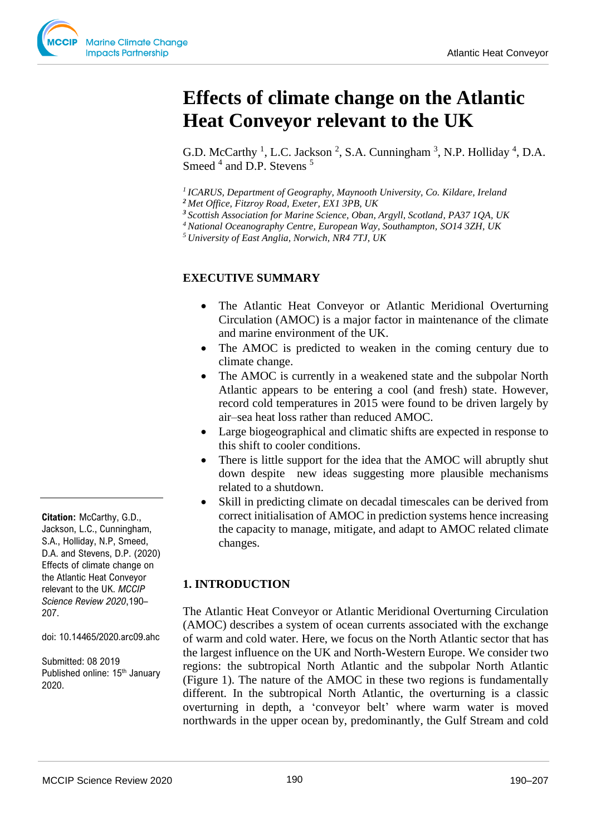# **Effects of climate change on the Atlantic Heat Conveyor relevant to the UK**

G.D. McCarthy<sup>1</sup>, L.C. Jackson<sup>2</sup>, S.A. Cunningham<sup>3</sup>, N.P. Holliday<sup>4</sup>, D.A. Smeed <sup>4</sup> and D.P. Stevens <sup>5</sup>

*<sup>1</sup>ICARUS, Department of Geography, Maynooth University, Co. Kildare, Ireland*

*<sup>2</sup>Met Office, Fitzroy Road, Exeter, EX1 3PB, UK*

- *<sup>3</sup>Scottish Association for Marine Science, Oban, Argyll, Scotland, PA37 1QA, UK*
- *<sup>4</sup>National Oceanography Centre, European Way, Southampton, SO14 3ZH, UK*

*<sup>5</sup>University of East Anglia, Norwich, NR4 7TJ, UK*

## **EXECUTIVE SUMMARY**

- The Atlantic Heat Conveyor or Atlantic Meridional Overturning Circulation (AMOC) is a major factor in maintenance of the climate and marine environment of the UK.
- The AMOC is predicted to weaken in the coming century due to climate change.
- The AMOC is currently in a weakened state and the subpolar North Atlantic appears to be entering a cool (and fresh) state. However, record cold temperatures in 2015 were found to be driven largely by air–sea heat loss rather than reduced AMOC.
- Large biogeographical and climatic shifts are expected in response to this shift to cooler conditions.
- There is little support for the idea that the AMOC will abruptly shut down despite new ideas suggesting more plausible mechanisms related to a shutdown.
- Skill in predicting climate on decadal timescales can be derived from correct initialisation of AMOC in prediction systems hence increasing the capacity to manage, mitigate, and adapt to AMOC related climate changes.

### **1. INTRODUCTION**

The Atlantic Heat Conveyor or Atlantic Meridional Overturning Circulation (AMOC) describes a system of ocean currents associated with the exchange of warm and cold water. Here, we focus on the North Atlantic sector that has the largest influence on the UK and North-Western Europe. We consider two regions: the subtropical North Atlantic and the subpolar North Atlantic (Figure 1). The nature of the AMOC in these two regions is fundamentally different. In the subtropical North Atlantic, the overturning is a classic overturning in depth, a 'conveyor belt' where warm water is moved northwards in the upper ocean by, predominantly, the Gulf Stream and cold

**Citation:** McCarthy, G.D., Jackson, L.C., Cunningham, S.A., Holliday, N.P, Smeed, D.A. and Stevens, D.P. (2020) Effects of climate change on the Atlantic Heat Conveyor relevant to the UK. *MCCIP Science Review 2020*,190– 207.

doi: 10.14465/2020.arc09.ahc

Submitted: 08 2019 Published online: 15<sup>th</sup> January 2020.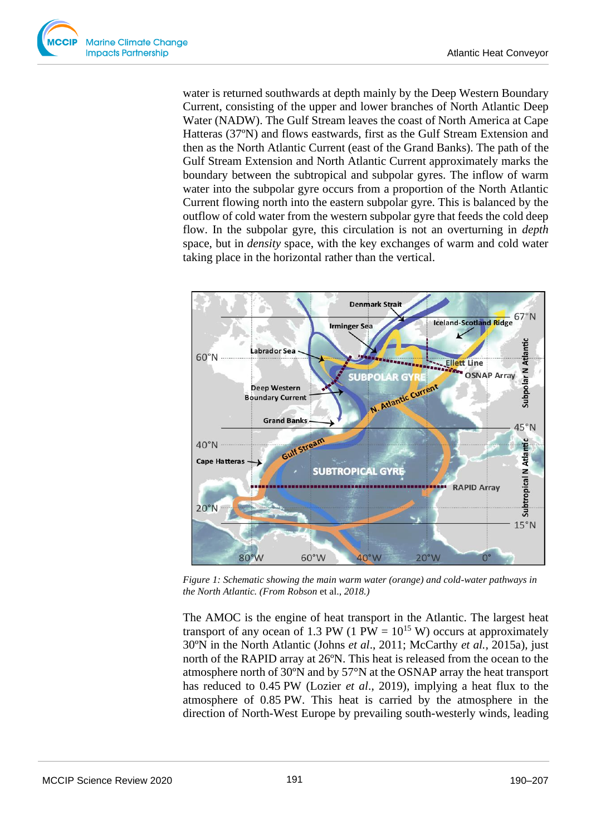water is returned southwards at depth mainly by the Deep Western Boundary Current, consisting of the upper and lower branches of North Atlantic Deep Water (NADW). The Gulf Stream leaves the coast of North America at Cape Hatteras (37ºN) and flows eastwards, first as the Gulf Stream Extension and then as the North Atlantic Current (east of the Grand Banks). The path of the Gulf Stream Extension and North Atlantic Current approximately marks the boundary between the subtropical and subpolar gyres. The inflow of warm water into the subpolar gyre occurs from a proportion of the North Atlantic Current flowing north into the eastern subpolar gyre. This is balanced by the outflow of cold water from the western subpolar gyre that feeds the cold deep flow. In the subpolar gyre, this circulation is not an overturning in *depth* space, but in *density* space, with the key exchanges of warm and cold water taking place in the horizontal rather than the vertical.



*Figure 1: Schematic showing the main warm water (orange) and cold-water pathways in the North Atlantic. (From Robson* et al., *2018.)*

The AMOC is the engine of heat transport in the Atlantic. The largest heat transport of any ocean of 1.3 PW (1 PW =  $10^{15}$  W) occurs at approximately 30ºN in the North Atlantic (Johns *et al*., 2011; McCarthy *et al.,* 2015a), just north of the RAPID array at 26ºN. This heat is released from the ocean to the atmosphere north of 30ºN and by 57°N at the OSNAP array the heat transport has reduced to 0.45 PW (Lozier *et al*., 2019), implying a heat flux to the atmosphere of 0.85 PW. This heat is carried by the atmosphere in the direction of North-West Europe by prevailing south-westerly winds, leading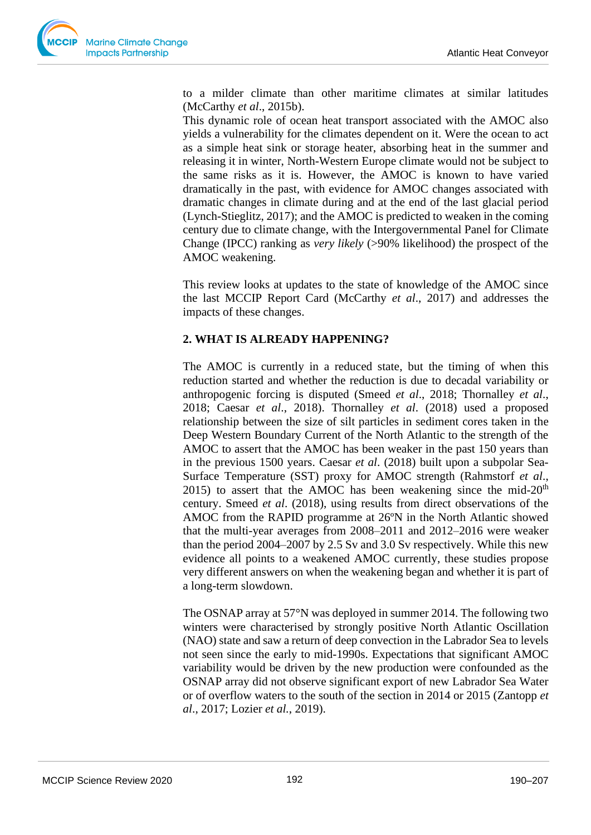to a milder climate than other maritime climates at similar latitudes (McCarthy *et al*., 2015b).

This dynamic role of ocean heat transport associated with the AMOC also yields a vulnerability for the climates dependent on it. Were the ocean to act as a simple heat sink or storage heater, absorbing heat in the summer and releasing it in winter, North-Western Europe climate would not be subject to the same risks as it is. However, the AMOC is known to have varied dramatically in the past, with evidence for AMOC changes associated with dramatic changes in climate during and at the end of the last glacial period (Lynch-Stieglitz, 2017); and the AMOC is predicted to weaken in the coming century due to climate change, with the Intergovernmental Panel for Climate Change (IPCC) ranking as *very likely* (>90% likelihood) the prospect of the AMOC weakening.

This review looks at updates to the state of knowledge of the AMOC since the last MCCIP Report Card (McCarthy *et al*., 2017) and addresses the impacts of these changes.

## **2. WHAT IS ALREADY HAPPENING?**

The AMOC is currently in a reduced state, but the timing of when this reduction started and whether the reduction is due to decadal variability or anthropogenic forcing is disputed (Smeed *et al*., 2018; Thornalley *et al*., 2018; Caesar *et al*., 2018). Thornalley *et al*. (2018) used a proposed relationship between the size of silt particles in sediment cores taken in the Deep Western Boundary Current of the North Atlantic to the strength of the AMOC to assert that the AMOC has been weaker in the past 150 years than in the previous 1500 years. Caesar *et al*. (2018) built upon a subpolar Sea-Surface Temperature (SST) proxy for AMOC strength (Rahmstorf *et al*., 2015) to assert that the AMOC has been weakening since the mid- $20<sup>th</sup>$ century. Smeed *et al*. (2018), using results from direct observations of the AMOC from the RAPID programme at 26ºN in the North Atlantic showed that the multi-year averages from 2008–2011 and 2012–2016 were weaker than the period 2004–2007 by 2.5 Sv and 3.0 Sv respectively. While this new evidence all points to a weakened AMOC currently, these studies propose very different answers on when the weakening began and whether it is part of a long-term slowdown.

The OSNAP array at 57°N was deployed in summer 2014. The following two winters were characterised by strongly positive North Atlantic Oscillation (NAO) state and saw a return of deep convection in the Labrador Sea to levels not seen since the early to mid-1990s. Expectations that significant AMOC variability would be driven by the new production were confounded as the OSNAP array did not observe significant export of new Labrador Sea Water or of overflow waters to the south of the section in 2014 or 2015 (Zantopp *et al*., 2017; Lozier *et al.*, 2019).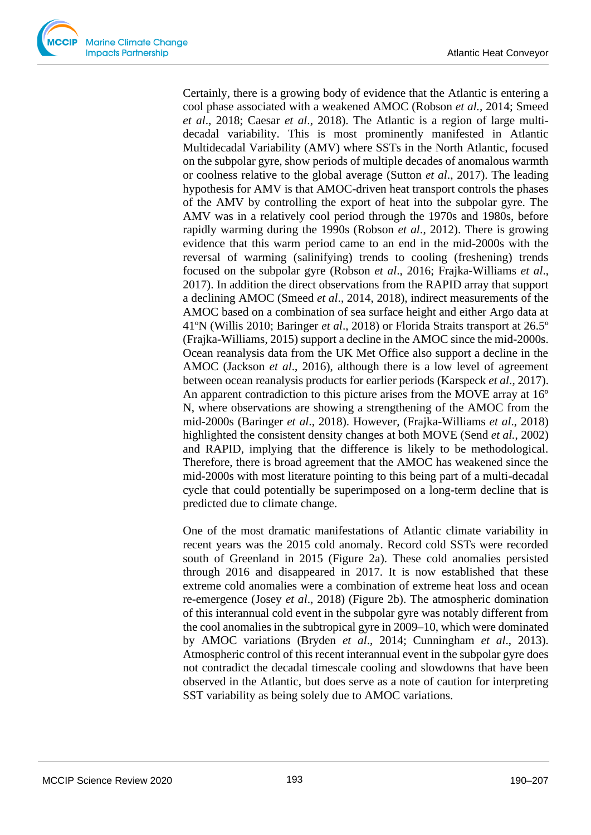Certainly, there is a growing body of evidence that the Atlantic is entering a cool phase associated with a weakened AMOC (Robson *et al.,* 2014; Smeed *et al*., 2018; Caesar *et al*., 2018). The Atlantic is a region of large multidecadal variability. This is most prominently manifested in Atlantic Multidecadal Variability (AMV) where SSTs in the North Atlantic, focused on the subpolar gyre, show periods of multiple decades of anomalous warmth or coolness relative to the global average (Sutton *et al*., 2017). The leading hypothesis for AMV is that AMOC-driven heat transport controls the phases of the AMV by controlling the export of heat into the subpolar gyre. The AMV was in a relatively cool period through the 1970s and 1980s, before rapidly warming during the 1990s (Robson *et al*., 2012). There is growing evidence that this warm period came to an end in the mid-2000s with the reversal of warming (salinifying) trends to cooling (freshening) trends focused on the subpolar gyre (Robson *et al*., 2016; Frajka-Williams *et al*., 2017). In addition the direct observations from the RAPID array that support a declining AMOC (Smeed *et al*., 2014, 2018), indirect measurements of the AMOC based on a combination of sea surface height and either Argo data at 41ºN (Willis 2010; Baringer *et al*., 2018) or Florida Straits transport at 26.5º (Frajka-Williams, 2015) support a decline in the AMOC since the mid-2000s. Ocean reanalysis data from the UK Met Office also support a decline in the AMOC (Jackson *et al*., 2016), although there is a low level of agreement between ocean reanalysis products for earlier periods (Karspeck *et al*., 2017). An apparent contradiction to this picture arises from the MOVE array at 16<sup>°</sup> N, where observations are showing a strengthening of the AMOC from the mid-2000s (Baringer *et al*., 2018). However, (Frajka-Williams *et al*., 2018) highlighted the consistent density changes at both MOVE (Send *et al.*, 2002) and RAPID, implying that the difference is likely to be methodological. Therefore, there is broad agreement that the AMOC has weakened since the mid-2000s with most literature pointing to this being part of a multi-decadal cycle that could potentially be superimposed on a long-term decline that is predicted due to climate change.

One of the most dramatic manifestations of Atlantic climate variability in recent years was the 2015 cold anomaly. Record cold SSTs were recorded south of Greenland in 2015 (Figure 2a). These cold anomalies persisted through 2016 and disappeared in 2017. It is now established that these extreme cold anomalies were a combination of extreme heat loss and ocean re-emergence (Josey *et al*., 2018) (Figure 2b). The atmospheric domination of this interannual cold event in the subpolar gyre was notably different from the cool anomalies in the subtropical gyre in 2009–10, which were dominated by AMOC variations (Bryden *et al*., 2014; Cunningham *et al*., 2013). Atmospheric control of this recent interannual event in the subpolar gyre does not contradict the decadal timescale cooling and slowdowns that have been observed in the Atlantic, but does serve as a note of caution for interpreting SST variability as being solely due to AMOC variations.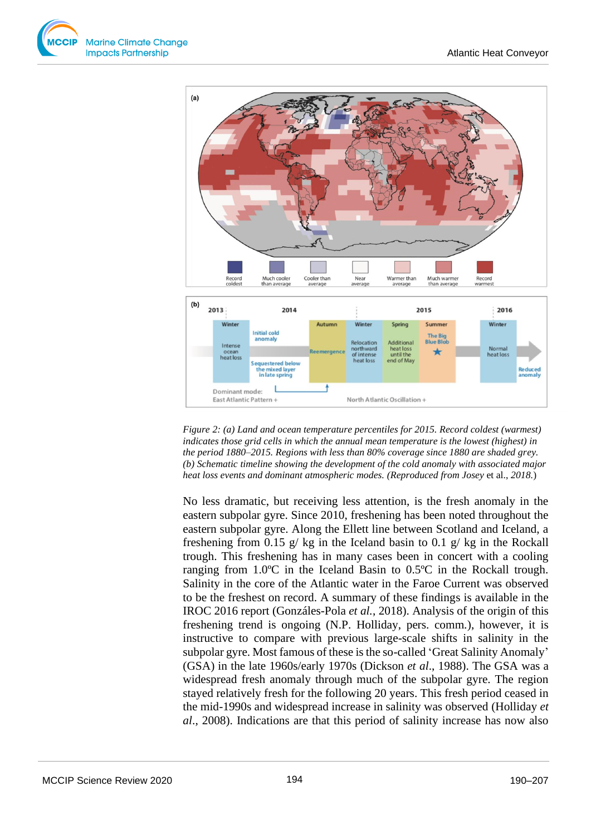



*Figure 2: (a) Land and ocean temperature percentiles for 2015. Record coldest (warmest) indicates those grid cells in which the annual mean temperature is the lowest (highest) in the period 1880–2015. Regions with less than 80% coverage since 1880 are shaded grey. (b) Schematic timeline showing the development of the cold anomaly with associated major heat loss events and dominant atmospheric modes. (Reproduced from Josey* et al., *2018.*)

No less dramatic, but receiving less attention, is the fresh anomaly in the eastern subpolar gyre. Since 2010, freshening has been noted throughout the eastern subpolar gyre. Along the Ellett line between Scotland and Iceland, a freshening from 0.15 g/ kg in the Iceland basin to 0.1 g/ kg in the Rockall trough. This freshening has in many cases been in concert with a cooling ranging from 1.0ºC in the Iceland Basin to 0.5ºC in the Rockall trough. Salinity in the core of the Atlantic water in the Faroe Current was observed to be the freshest on record. A summary of these findings is available in the IROC 2016 report (Gonzáles-Pola *et al.*, 2018). Analysis of the origin of this freshening trend is ongoing (N.P. Holliday, pers. comm*.*), however, it is instructive to compare with previous large-scale shifts in salinity in the subpolar gyre. Most famous of these is the so-called 'Great Salinity Anomaly' (GSA) in the late 1960s/early 1970s (Dickson *et al*., 1988). The GSA was a widespread fresh anomaly through much of the subpolar gyre. The region stayed relatively fresh for the following 20 years. This fresh period ceased in the mid-1990s and widespread increase in salinity was observed (Holliday *et al*., 2008). Indications are that this period of salinity increase has now also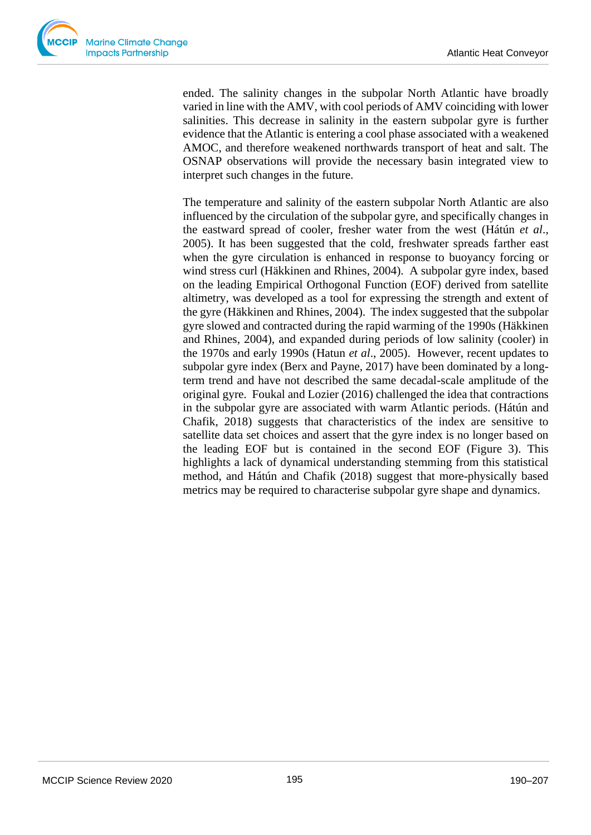

ended. The salinity changes in the subpolar North Atlantic have broadly varied in line with the AMV, with cool periods of AMV coinciding with lower salinities. This decrease in salinity in the eastern subpolar gyre is further evidence that the Atlantic is entering a cool phase associated with a weakened AMOC, and therefore weakened northwards transport of heat and salt. The OSNAP observations will provide the necessary basin integrated view to interpret such changes in the future.

The temperature and salinity of the eastern subpolar North Atlantic are also influenced by the circulation of the subpolar gyre, and specifically changes in the eastward spread of cooler, fresher water from the west (Hátún *et al*., 2005). It has been suggested that the cold, freshwater spreads farther east when the gyre circulation is enhanced in response to buoyancy forcing or wind stress curl (Häkkinen and Rhines, 2004). A subpolar gyre index, based on the leading Empirical Orthogonal Function (EOF) derived from satellite altimetry, was developed as a tool for expressing the strength and extent of the gyre (Häkkinen and Rhines, 2004). The index suggested that the subpolar gyre slowed and contracted during the rapid warming of the 1990s (Häkkinen and Rhines, 2004), and expanded during periods of low salinity (cooler) in the 1970s and early 1990s (Hatun *et al*., 2005). However, recent updates to subpolar gyre index (Berx and Payne, 2017) have been dominated by a longterm trend and have not described the same decadal-scale amplitude of the original gyre. Foukal and Lozier (2016) challenged the idea that contractions in the subpolar gyre are associated with warm Atlantic periods. (Hátún and Chafik, 2018) suggests that characteristics of the index are sensitive to satellite data set choices and assert that the gyre index is no longer based on the leading EOF but is contained in the second EOF (Figure 3). This highlights a lack of dynamical understanding stemming from this statistical method, and Hátún and Chafik (2018) suggest that more-physically based metrics may be required to characterise subpolar gyre shape and dynamics.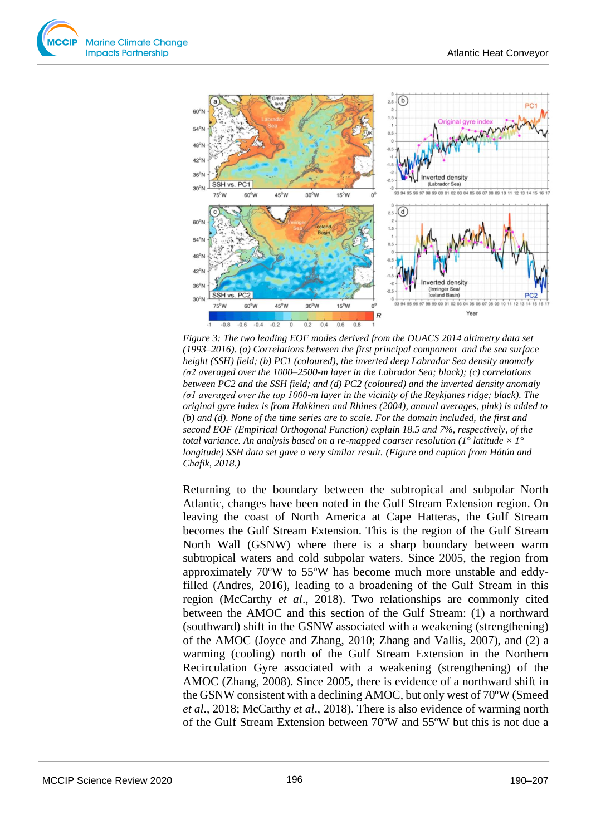



*Figure 3: The two leading EOF modes derived from the DUACS 2014 altimetry data set (1993–2016). (a) Correlations between the first principal component and the sea surface height (SSH) field; (b) PC1 (coloured), the inverted deep Labrador Sea density anomaly (σ2 averaged over the 1000–2500-m layer in the Labrador Sea; black); (c) correlations between PC2 and the SSH field; and (d) PC2 (coloured) and the inverted density anomaly (σ1 averaged over the top 1000-m layer in the vicinity of the Reykjanes ridge; black). The original gyre index is from Hakkinen and Rhines (2004), annual averages, pink) is added to (b) and (d). None of the time series are to scale. For the domain included, the first and second EOF (Empirical Orthogonal Function) explain 18.5 and 7%, respectively, of the total variance. An analysis based on a re-mapped coarser resolution (1<sup>o</sup> latitude*  $\times$  *1<sup>o</sup> longitude) SSH data set gave a very similar result. (Figure and caption from Hátún and Chafik, 2018.)*

Returning to the boundary between the subtropical and subpolar North Atlantic, changes have been noted in the Gulf Stream Extension region. On leaving the coast of North America at Cape Hatteras, the Gulf Stream becomes the Gulf Stream Extension. This is the region of the Gulf Stream North Wall (GSNW) where there is a sharp boundary between warm subtropical waters and cold subpolar waters. Since 2005, the region from approximately 70ºW to 55ºW has become much more unstable and eddyfilled (Andres, 2016), leading to a broadening of the Gulf Stream in this region (McCarthy *et al*., 2018). Two relationships are commonly cited between the AMOC and this section of the Gulf Stream: (1) a northward (southward) shift in the GSNW associated with a weakening (strengthening) of the AMOC (Joyce and Zhang, 2010; Zhang and Vallis, 2007), and (2) a warming (cooling) north of the Gulf Stream Extension in the Northern Recirculation Gyre associated with a weakening (strengthening) of the AMOC (Zhang, 2008). Since 2005, there is evidence of a northward shift in the GSNW consistent with a declining AMOC, but only west of 70ºW (Smeed *et al*., 2018; McCarthy *et al*., 2018). There is also evidence of warming north of the Gulf Stream Extension between 70ºW and 55ºW but this is not due a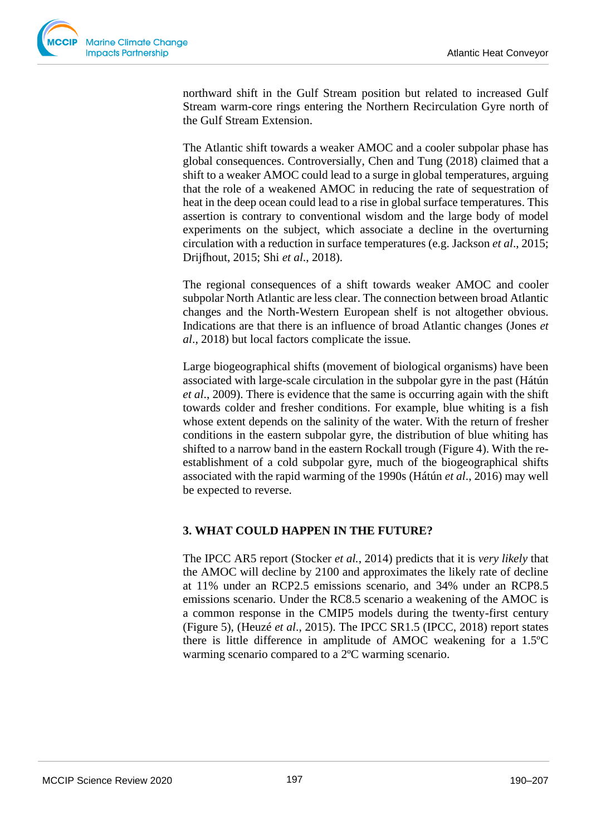

northward shift in the Gulf Stream position but related to increased Gulf Stream warm-core rings entering the Northern Recirculation Gyre north of the Gulf Stream Extension.

The Atlantic shift towards a weaker AMOC and a cooler subpolar phase has global consequences. Controversially, Chen and Tung (2018) claimed that a shift to a weaker AMOC could lead to a surge in global temperatures, arguing that the role of a weakened AMOC in reducing the rate of sequestration of heat in the deep ocean could lead to a rise in global surface temperatures. This assertion is contrary to conventional wisdom and the large body of model experiments on the subject, which associate a decline in the overturning circulation with a reduction in surface temperatures (e.g. Jackson *et al*., 2015; Drijfhout, 2015; Shi *et al*., 2018).

The regional consequences of a shift towards weaker AMOC and cooler subpolar North Atlantic are less clear. The connection between broad Atlantic changes and the North-Western European shelf is not altogether obvious. Indications are that there is an influence of broad Atlantic changes (Jones *et al*., 2018) but local factors complicate the issue.

Large biogeographical shifts (movement of biological organisms) have been associated with large-scale circulation in the subpolar gyre in the past (Hátún *et al*., 2009). There is evidence that the same is occurring again with the shift towards colder and fresher conditions. For example, blue whiting is a fish whose extent depends on the salinity of the water. With the return of fresher conditions in the eastern subpolar gyre, the distribution of blue whiting has shifted to a narrow band in the eastern Rockall trough (Figure 4). With the reestablishment of a cold subpolar gyre, much of the biogeographical shifts associated with the rapid warming of the 1990s (Hátún *et al*., 2016) may well be expected to reverse.

### **3. WHAT COULD HAPPEN IN THE FUTURE?**

The IPCC AR5 report (Stocker *et al.*, 2014) predicts that it is *very likely* that the AMOC will decline by 2100 and approximates the likely rate of decline at 11% under an RCP2.5 emissions scenario, and 34% under an RCP8.5 emissions scenario. Under the RC8.5 scenario a weakening of the AMOC is a common response in the CMIP5 models during the twenty-first century (Figure 5), (Heuzé *et al*., 2015). The IPCC SR1.5 (IPCC, 2018) report states there is little difference in amplitude of AMOC weakening for a 1.5ºC warming scenario compared to a 2ºC warming scenario.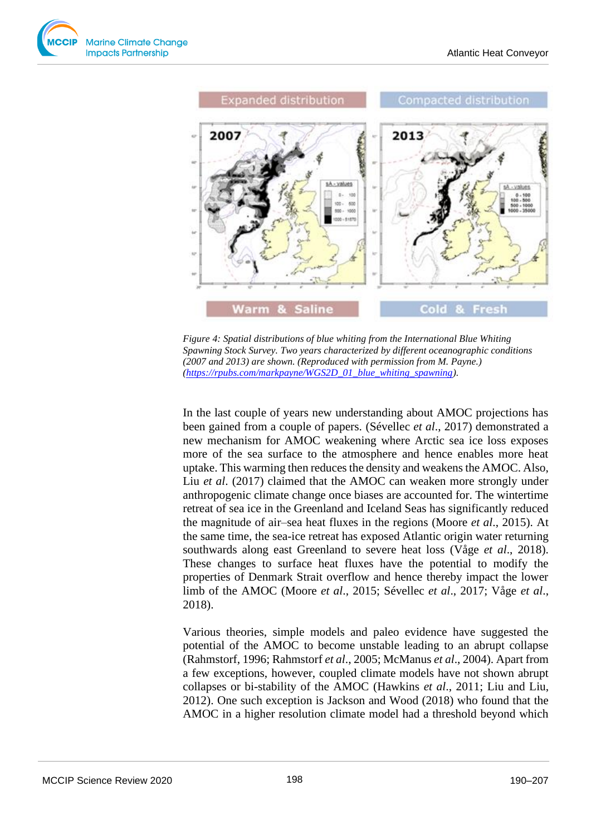



*Figure 4: Spatial distributions of blue whiting from the International Blue Whiting Spawning Stock Survey. Two years characterized by different oceanographic conditions (2007 and 2013) are shown. (Reproduced with permission from M. Payne.) [\(https://rpubs.com/markpayne/WGS2D\\_01\\_blue\\_whiting\\_spawning\)](https://rpubs.com/markpayne/WGS2D_01_blue_whiting_spawning).* 

In the last couple of years new understanding about AMOC projections has been gained from a couple of papers. (Sévellec *et al*., 2017) demonstrated a new mechanism for AMOC weakening where Arctic sea ice loss exposes more of the sea surface to the atmosphere and hence enables more heat uptake. This warming then reduces the density and weakens the AMOC. Also, Liu *et al*. (2017) claimed that the AMOC can weaken more strongly under anthropogenic climate change once biases are accounted for. The wintertime retreat of sea ice in the Greenland and Iceland Seas has significantly reduced the magnitude of air–sea heat fluxes in the regions (Moore *et al*., 2015). At the same time, the sea-ice retreat has exposed Atlantic origin water returning southwards along east Greenland to severe heat loss (Våge *et al*., 2018). These changes to surface heat fluxes have the potential to modify the properties of Denmark Strait overflow and hence thereby impact the lower limb of the AMOC (Moore *et al*., 2015; Sévellec *et al*., 2017; Våge *et al*., 2018).

Various theories, simple models and paleo evidence have suggested the potential of the AMOC to become unstable leading to an abrupt collapse (Rahmstorf, 1996; Rahmstorf *et al*., 2005; McManus *et al*., 2004). Apart from a few exceptions, however, coupled climate models have not shown abrupt collapses or bi-stability of the AMOC (Hawkins *et al*., 2011; Liu and Liu, 2012). One such exception is Jackson and Wood (2018) who found that the AMOC in a higher resolution climate model had a threshold beyond which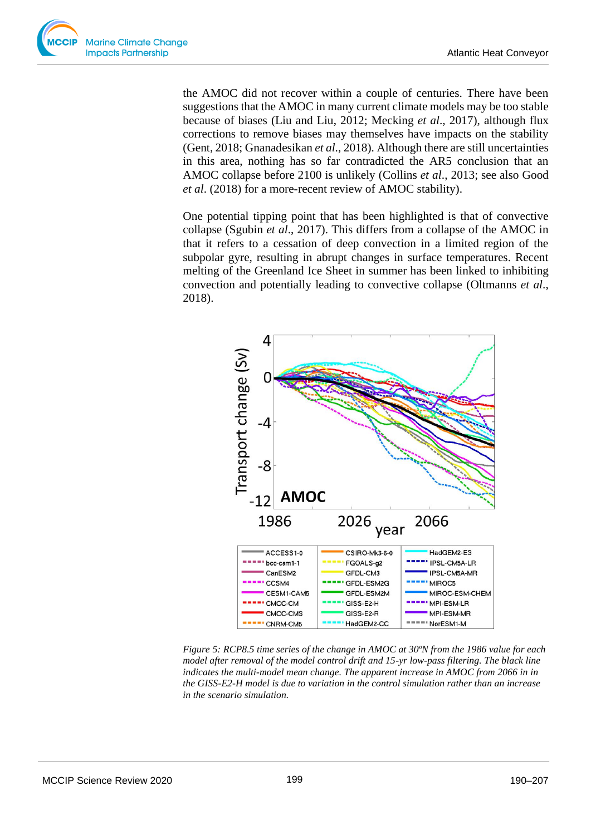the AMOC did not recover within a couple of centuries. There have been suggestions that the AMOC in many current climate models may be too stable because of biases (Liu and Liu, 2012; Mecking *et al*., 2017), although flux corrections to remove biases may themselves have impacts on the stability (Gent, 2018; Gnanadesikan *et al*., 2018). Although there are still uncertainties in this area, nothing has so far contradicted the AR5 conclusion that an AMOC collapse before 2100 is unlikely (Collins *et al*., 2013; see also Good *et al*. (2018) for a more-recent review of AMOC stability).

One potential tipping point that has been highlighted is that of convective collapse (Sgubin *et al*., 2017). This differs from a collapse of the AMOC in that it refers to a cessation of deep convection in a limited region of the subpolar gyre, resulting in abrupt changes in surface temperatures. Recent melting of the Greenland Ice Sheet in summer has been linked to inhibiting convection and potentially leading to convective collapse (Oltmanns *et al*., 2018).



*Figure 5: RCP8.5 time series of the change in AMOC at 30ºN from the 1986 value for each model after removal of the model control drift and 15-yr low-pass filtering. The black line indicates the multi-model mean change. The apparent increase in AMOC from 2066 in in the GISS-E2-H model is due to variation in the control simulation rather than an increase in the scenario simulation.*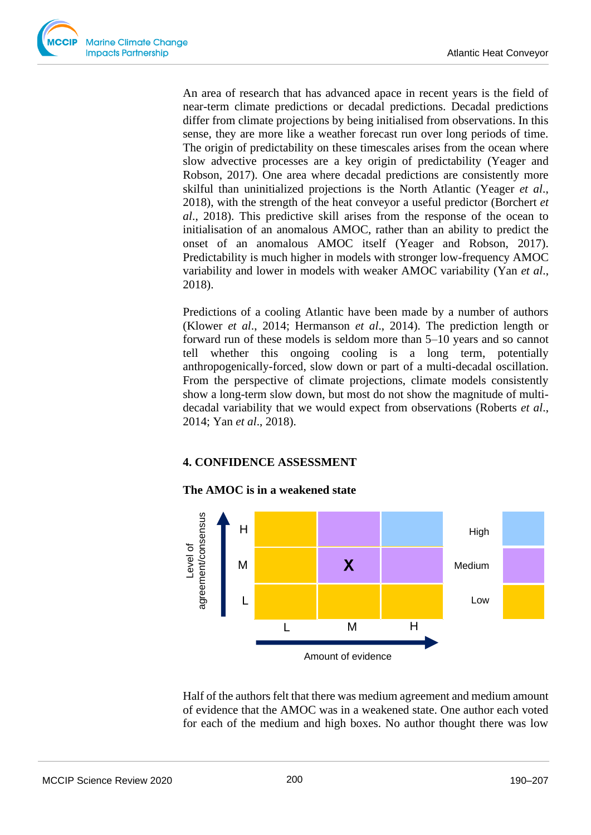An area of research that has advanced apace in recent years is the field of near-term climate predictions or decadal predictions. Decadal predictions differ from climate projections by being initialised from observations. In this sense, they are more like a weather forecast run over long periods of time. The origin of predictability on these timescales arises from the ocean where slow advective processes are a key origin of predictability (Yeager and Robson, 2017). One area where decadal predictions are consistently more skilful than uninitialized projections is the North Atlantic (Yeager *et al*., 2018), with the strength of the heat conveyor a useful predictor (Borchert *et al*., 2018). This predictive skill arises from the response of the ocean to initialisation of an anomalous AMOC, rather than an ability to predict the onset of an anomalous AMOC itself (Yeager and Robson, 2017). Predictability is much higher in models with stronger low-frequency AMOC variability and lower in models with weaker AMOC variability (Yan *et al*., 2018).

Predictions of a cooling Atlantic have been made by a number of authors (Klower *et al*., 2014; Hermanson *et al*., 2014). The prediction length or forward run of these models is seldom more than 5–10 years and so cannot tell whether this ongoing cooling is a long term, potentially anthropogenically-forced, slow down or part of a multi-decadal oscillation. From the perspective of climate projections, climate models consistently show a long-term slow down, but most do not show the magnitude of multidecadal variability that we would expect from observations (Roberts *et al*., 2014; Yan *et al*., 2018).

### **4. CONFIDENCE ASSESSMENT**

### **The AMOC is in a weakened state**



Half of the authors felt that there was medium agreement and medium amount of evidence that the AMOC was in a weakened state. One author each voted for each of the medium and high boxes. No author thought there was low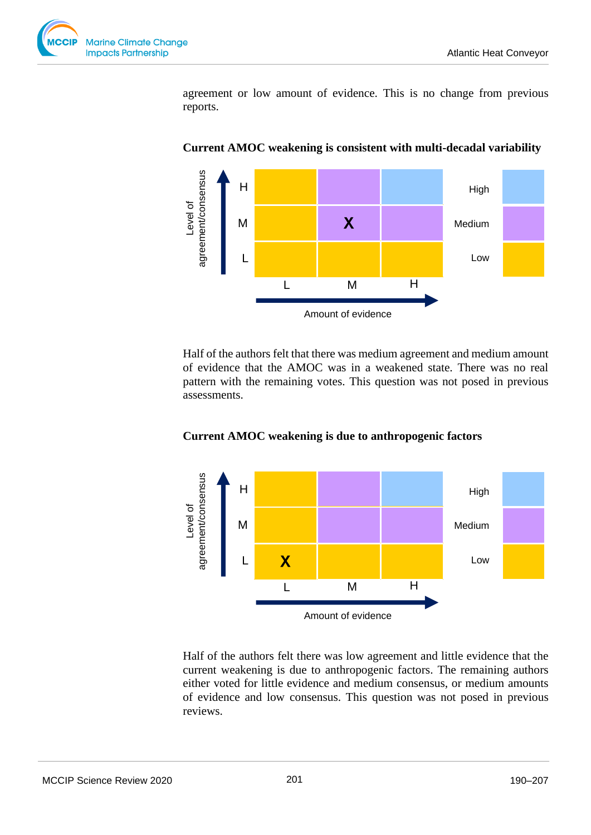

agreement or low amount of evidence. This is no change from previous reports.



**Current AMOC weakening is consistent with multi-decadal variability**

Half of the authors felt that there was medium agreement and medium amount of evidence that the AMOC was in a weakened state. There was no real pattern with the remaining votes. This question was not posed in previous assessments.



### **Current AMOC weakening is due to anthropogenic factors**

Half of the authors felt there was low agreement and little evidence that the current weakening is due to anthropogenic factors. The remaining authors either voted for little evidence and medium consensus, or medium amounts of evidence and low consensus. This question was not posed in previous reviews.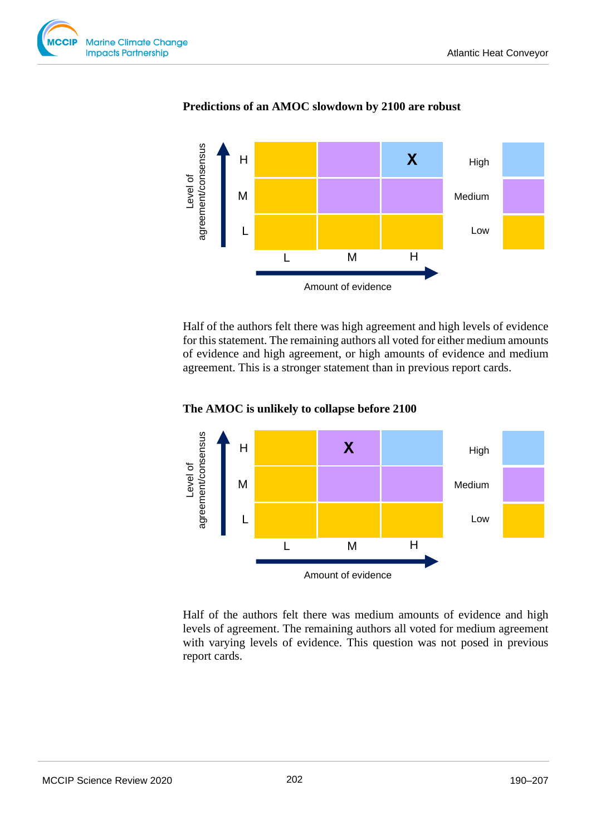



### **Predictions of an AMOC slowdown by 2100 are robust**

Half of the authors felt there was high agreement and high levels of evidence for this statement. The remaining authors all voted for either medium amounts of evidence and high agreement, or high amounts of evidence and medium agreement. This is a stronger statement than in previous report cards.

## **The AMOC is unlikely to collapse before 2100**



Half of the authors felt there was medium amounts of evidence and high levels of agreement. The remaining authors all voted for medium agreement with varying levels of evidence. This question was not posed in previous report cards.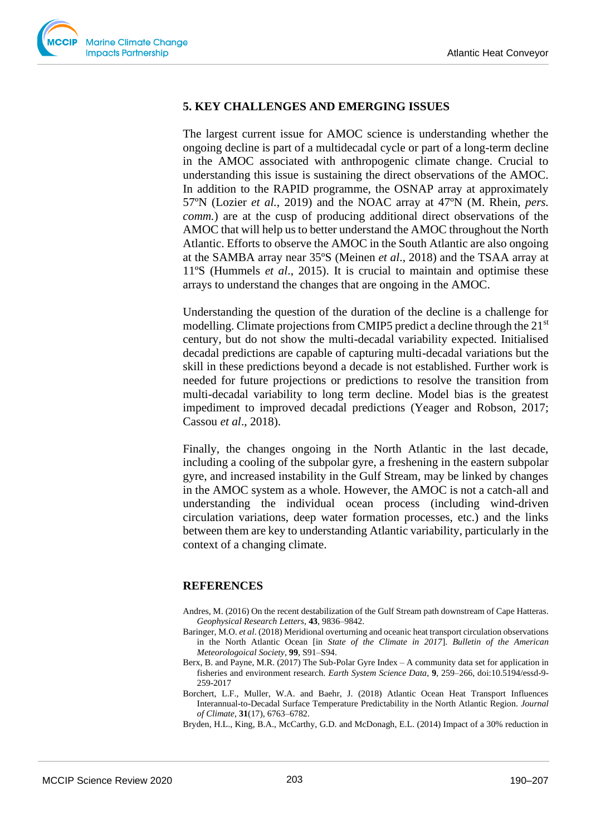

## **5. KEY CHALLENGES AND EMERGING ISSUES**

The largest current issue for AMOC science is understanding whether the ongoing decline is part of a multidecadal cycle or part of a long-term decline in the AMOC associated with anthropogenic climate change. Crucial to understanding this issue is sustaining the direct observations of the AMOC. In addition to the RAPID programme, the OSNAP array at approximately 57ºN (Lozier *et al.*, 2019) and the NOAC array at 47ºN (M. Rhein, *pers. comm.*) are at the cusp of producing additional direct observations of the AMOC that will help us to better understand the AMOC throughout the North Atlantic. Efforts to observe the AMOC in the South Atlantic are also ongoing at the SAMBA array near 35ºS (Meinen *et al*., 2018) and the TSAA array at 11ºS (Hummels *et al*., 2015). It is crucial to maintain and optimise these arrays to understand the changes that are ongoing in the AMOC.

Understanding the question of the duration of the decline is a challenge for modelling. Climate projections from CMIP5 predict a decline through the  $21<sup>st</sup>$ century, but do not show the multi-decadal variability expected. Initialised decadal predictions are capable of capturing multi-decadal variations but the skill in these predictions beyond a decade is not established. Further work is needed for future projections or predictions to resolve the transition from multi-decadal variability to long term decline. Model bias is the greatest impediment to improved decadal predictions (Yeager and Robson, 2017; Cassou *et al*., 2018).

Finally, the changes ongoing in the North Atlantic in the last decade, including a cooling of the subpolar gyre, a freshening in the eastern subpolar gyre, and increased instability in the Gulf Stream, may be linked by changes in the AMOC system as a whole. However, the AMOC is not a catch-all and understanding the individual ocean process (including wind-driven circulation variations, deep water formation processes, etc.) and the links between them are key to understanding Atlantic variability, particularly in the context of a changing climate.

#### **REFERENCES**

- Andres, M. (2016) On the recent destabilization of the Gulf Stream path downstream of Cape Hatteras. *Geophysical Research Letters*, **43**, 9836–9842.
- Baringer, M.O. *et al*. (2018) Meridional overturning and oceanic heat transport circulation observations in the North Atlantic Ocean [in *State of the Climate in 2017*]. *Bulletin of the American Meteorologoical Society*, **99**, S91–S94.
- Berx, B. and Payne, M.R. (2017) The Sub-Polar Gyre Index A community data set for application in fisheries and environment research. *Earth System Science Data*, **9**, 259–266, doi:10.5194/essd-9- 259-2017
- Borchert, L.F., Muller, W.A. and Baehr, J. (2018) Atlantic Ocean Heat Transport Influences Interannual-to-Decadal Surface Temperature Predictability in the North Atlantic Region. *Journal of Climate*, **31**(17), 6763–6782.

Bryden, H.L., King, B.A., McCarthy, G.D. and McDonagh, E.L. (2014) Impact of a 30% reduction in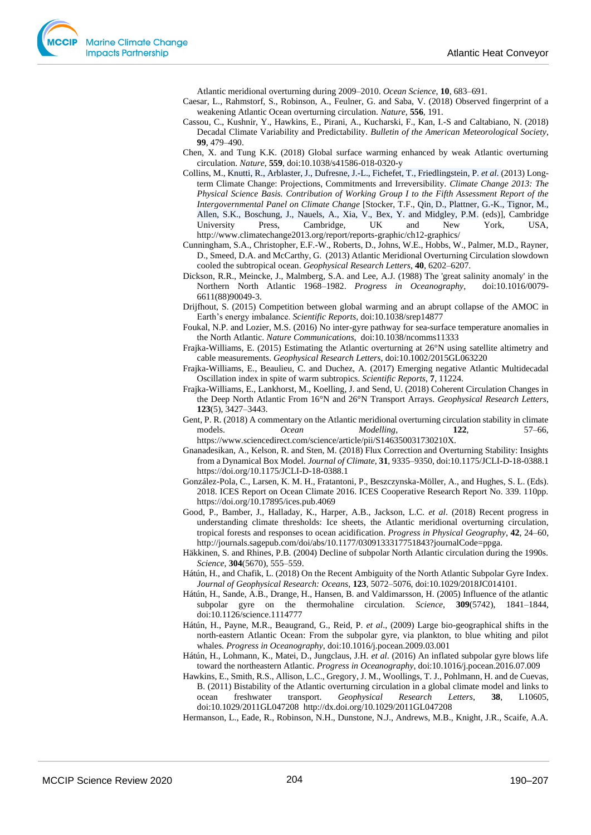Atlantic meridional overturning during 2009–2010. *Ocean Science*, **10**, 683–691.

- Caesar, L., Rahmstorf, S., Robinson, A., Feulner, G. and Saba, V. (2018) Observed fingerprint of a weakening Atlantic Ocean overturning circulation. *Nature*, **556**, 191.
- Cassou, C., Kushnir, Y., Hawkins, E., Pirani, A., Kucharski, F., Kan, I.-S and Caltabiano, N. (2018) Decadal Climate Variability and Predictability. *Bulletin of the American Meteorological Society*, **99**, 479–490.
- Chen, X. and Tung K.K. (2018) Global surface warming enhanced by weak Atlantic overturning circulation. *Nature*, **559**, doi:10.1038/s41586-018-0320-y
- Collins, M., Knutti, R., Arblaster, J., Dufresne, J.-L., Fichefet, T., Friedlingstein, P. *et al*. (2013) Longterm Climate Change: Projections, Commitments and Irreversibility. *Climate Change 2013: The Physical Science Basis. Contribution of Working Group I to the Fifth Assessment Report of the Intergovernmental Panel on Climate Change* [Stocker, T.F., Qin, D., Plattner, G.-K., Tignor, M., Allen, S.K., Boschung, J., Nauels, A., Xia, V., Bex, Y. and Midgley, P.M. (eds)], Cambridge University Press, Cambridge, UK and New York, USA, http://www.climatechange2013.org/report/reports-graphic/ch12-graphics/
- Cunningham, S.A., Christopher, E.F.-W., Roberts, D., Johns, W.E., Hobbs, W., Palmer, M.D., Rayner, D., Smeed, D.A. and McCarthy, G. (2013) Atlantic Meridional Overturning Circulation slowdown cooled the subtropical ocean. *Geophysical Research Letters*, **40**, 6202–6207.
- Dickson, R.R., Meincke, J., Malmberg, S.A. and Lee, A.J. (1988) The 'great salinity anomaly' in the Northern North Atlantic 1968–1982. *Progress in Oceanography*, doi:10.1016/0079- 6611(88)90049-3.
- Drijfhout, S. (2015) Competition between global warming and an abrupt collapse of the AMOC in Earth's energy imbalance. *Scientific Reports,* doi:10.1038/srep14877
- Foukal, N.P. and Lozier, M.S. (2016) No inter-gyre pathway for sea-surface temperature anomalies in the North Atlantic. *Nature Communications*, doi:10.1038/ncomms11333
- Frajka-Williams, E. (2015) Estimating the Atlantic overturning at 26°N using satellite altimetry and cable measurements. *Geophysical Research Letters*, doi:10.1002/2015GL063220
- Frajka-Williams, E., Beaulieu, C. and Duchez, A. (2017) Emerging negative Atlantic Multidecadal Oscillation index in spite of warm subtropics. *Scientific Reports*, **7**, 11224.
- Frajka-Williams, E., Lankhorst, M., Koelling, J. and Send, U. (2018) Coherent Circulation Changes in the Deep North Atlantic From 16°N and 26°N Transport Arrays. *Geophysical Research Letters*, **123**(5), 3427–3443.
- Gent, P. R. (2018) A commentary on the Atlantic meridional overturning circulation stability in climate models. *Ocean Modelling*, **122**, 57–66, https://www.sciencedirect.com/science/article/pii/S146350031730210X.
- Gnanadesikan, A., Kelson, R. and Sten, M. (2018) Flux Correction and Overturning Stability: Insights from a Dynamical Box Model. *Journal of Climate*, **31**, 9335–9350, doi:10.1175/JCLI-D-18-0388.1 https://doi.org/10.1175/JCLI-D-18-0388.1
- González-Pola, C., Larsen, K. M. H., Fratantoni, P., Beszczynska-Möller, A., and Hughes, S. L. (Eds). 2018. ICES Report on Ocean Climate 2016. ICES Cooperative Research Report No. 339. 110pp. https://doi.org/10.17895/ices.pub.4069
- Good, P., Bamber, J., Halladay, K., Harper, A.B., Jackson, L.C. *et al*. (2018) Recent progress in understanding climate thresholds: Ice sheets, the Atlantic meridional overturning circulation, tropical forests and responses to ocean acidification. *Progress in Physical Geography*, **42**, 24–60, http://journals.sagepub.com/doi/abs/10.1177/0309133317751843?journalCode=ppga.
- Häkkinen, S. and Rhines, P.B. (2004) Decline of subpolar North Atlantic circulation during the 1990s. *Science*, **304**(5670), 555–559.
- Hátún, H., and Chafik, L. (2018) On the Recent Ambiguity of the North Atlantic Subpolar Gyre Index. *Journal of Geophysical Research: Oceans*, **123**, 5072–5076, doi:10.1029/2018JC014101.
- Hátún, H., Sande, A.B., Drange, H., Hansen, B. and Valdimarsson, H. (2005) Influence of the atlantic subpolar gyre on the thermohaline circulation. *Science,* **309**(5742), 1841–1844, doi:10.1126/science.1114777
- Hátún, H., Payne, M.R., Beaugrand, G., Reid, P. *et al*., (2009) Large bio-geographical shifts in the north-eastern Atlantic Ocean: From the subpolar gyre, via plankton, to blue whiting and pilot whales. *Progress in Oceanography*, doi:10.1016/j.pocean.2009.03.001
- Hátún, H., Lohmann, K., Matei, D., Jungclaus, J.H. *et al*. (2016) An inflated subpolar gyre blows life toward the northeastern Atlantic. *Progress in Oceanography*, doi:10.1016/j.pocean.2016.07.009
- Hawkins, E., Smith, R.S., Allison, L.C., Gregory, J. M., Woollings, T. J., Pohlmann, H. and de Cuevas, B. (2011) Bistability of the Atlantic overturning circulation in a global climate model and links to ocean freshwater transport. *Geophysical Research Letters*, **38**, L10605, doi:10.1029/2011GL047208 http://dx.doi.org/10.1029/2011GL047208
- Hermanson, L., Eade, R., Robinson, N.H., Dunstone, N.J., Andrews, M.B., Knight, J.R., Scaife, A.A.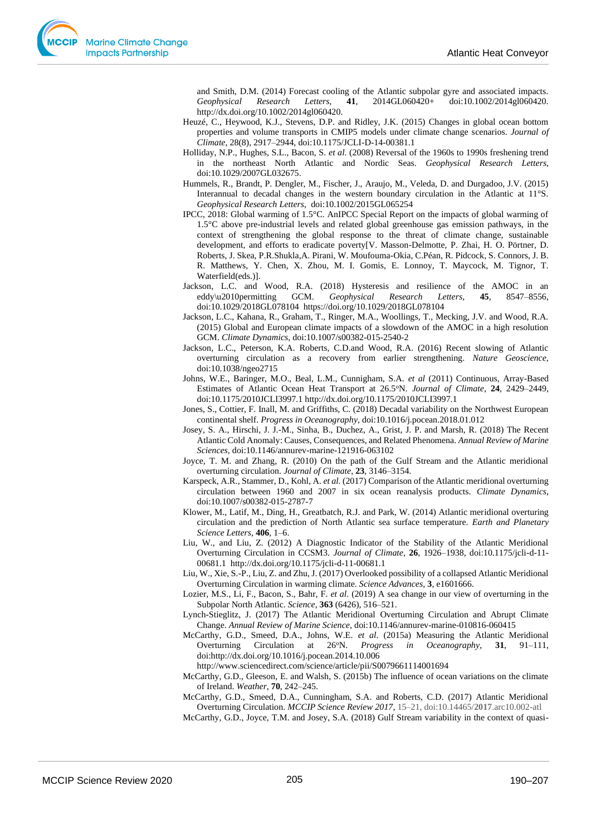and Smith, D.M. (2014) Forecast cooling of the Atlantic subpolar gyre and associated impacts.<br>Geophysical Research Letters, 41, 2014GL060420+ doi:10.1002/2014gl060420. *Geophysical Research Letters*, **41**, 2014GL060420+ doi:10.1002/2014gl060420. http://dx.doi.org/10.1002/2014gl060420.

- Heuzé, C., Heywood, K.J., Stevens, D.P. and Ridley, J.K. (2015) Changes in global ocean bottom properties and volume transports in CMIP5 models under climate change scenarios. *Journal of Climate*, 28(8), 2917–2944, doi:10.1175/JCLI-D-14-00381.1
- Holliday, N.P., Hughes, S.L., Bacon, S. *et al*. (2008) Reversal of the 1960s to 1990s freshening trend in the northeast North Atlantic and Nordic Seas. *Geophysical Research Letters*, doi:10.1029/2007GL032675.
- Hummels, R., Brandt, P. Dengler, M., Fischer, J., Araujo, M., Veleda, D. and Durgadoo, J.V. (2015) Interannual to decadal changes in the western boundary circulation in the Atlantic at 11°S. *Geophysical Research Letters*, doi:10.1002/2015GL065254
- IPCC, 2018: Global warming of 1.5°C. AnIPCC Special Report on the impacts of global warming of 1.5°C above pre-industrial levels and related global greenhouse gas emission pathways, in the context of strengthening the global response to the threat of climate change, sustainable development, and efforts to eradicate poverty[V. Masson-Delmotte, P. Zhai, H. O. Pörtner, D. Roberts, J. Skea, P.R.Shukla,A. Pirani, W. Moufouma-Okia, C.Péan, R. Pidcock, S. Connors, J. B. R. Matthews, Y. Chen, X. Zhou, M. I. Gomis, E. Lonnoy, T. Maycock, M. Tignor, T. Waterfield(eds.)].
- Jackson, L.C. and Wood, R.A. (2018) Hysteresis and resilience of the AMOC in an eddy\u2010permitting GCM. *Geophysical Research Letters*, **45**, 8547–8556, doi:10.1029/2018GL078104 https://doi.org/10.1029/2018GL078104
- Jackson, L.C., Kahana, R., Graham, T., Ringer, M.A., Woollings, T., Mecking, J.V. and Wood, R.A. (2015) Global and European climate impacts of a slowdown of the AMOC in a high resolution GCM. *Climate Dynamics*, doi:10.1007/s00382-015-2540-2
- Jackson, L.C., Peterson, K.A. Roberts, C.D.and Wood, R.A. (2016) Recent slowing of Atlantic overturning circulation as a recovery from earlier strengthening. *Nature Geoscience*, doi:10.1038/ngeo2715
- Johns, W.E., Baringer, M.O., Beal, L.M., Cunnigham, S.A. *et al* (2011) Continuous, Array-Based Estimates of Atlantic Ocean Heat Transport at 26.5<sup>o</sup>N. *Journal of Climate*, **24**, 2429–2449, doi:10.1175/2010JCLI3997.1 http://dx.doi.org/10.1175/2010JCLI3997.1
- Jones, S., Cottier, F. Inall, M. and Griffiths, C. (2018) Decadal variability on the Northwest European continental shelf. *Progress in Oceanography,* doi:10.1016/j.pocean.2018.01.012
- Josey, S. A., Hirschi, J. J.-M., Sinha, B., Duchez, A., Grist, J. P. and Marsh, R. (2018) The Recent Atlantic Cold Anomaly: Causes, Consequences, and Related Phenomena. *Annual Review of Marine Sciences*, doi:10.1146/annurev-marine-121916-063102
- Joyce, T. M. and Zhang, R. (2010) On the path of the Gulf Stream and the Atlantic meridional overturning circulation. *Journal of Climate*, **23**, 3146–3154.
- Karspeck, A.R., Stammer, D., Kohl, A. *et al.* (2017) Comparison of the Atlantic meridional overturning circulation between 1960 and 2007 in six ocean reanalysis products. *Climate Dynamics*, doi:10.1007/s00382-015-2787-7
- Klower, M., Latif, M., Ding, H., Greatbatch, R.J. and Park, W. (2014) Atlantic meridional overturing circulation and the prediction of North Atlantic sea surface temperature. *Earth and Planetary Science Letters*, **406**, 1–6.
- Liu, W., and Liu, Z. (2012) A Diagnostic Indicator of the Stability of the Atlantic Meridional Overturning Circulation in CCSM3. *Journal of Climate*, **26**, 1926–1938, doi:10.1175/jcli-d-11- 00681.1 http://dx.doi.org/10.1175/jcli-d-11-00681.1
- Liu, W., Xie, S.-P., Liu, Z. and Zhu, J. (2017) Overlooked possibility of a collapsed Atlantic Meridional Overturning Circulation in warming climate. *Science Advances*, **3**, e1601666.
- Lozier, M.S., Li, F., Bacon, S., Bahr, F. *et al*. (2019) A sea change in our view of overturning in the Subpolar North Atlantic. *Science*, **363** (6426), 516–521.
- Lynch-Stieglitz, J. (2017) The Atlantic Meridional Overturning Circulation and Abrupt Climate Change. *Annual Review of Marine Science*, doi:10.1146/annurev-marine-010816-060415
- McCarthy, G.D., Smeed, D.A., Johns, W.E. *et al*. (2015a) Measuring the Atlantic Meridional Overturning Circulation at 26<sup>o</sup>N. *Progress in Oceanography*, **31**, 91–111, doi:http://dx.doi.org/10.1016/j.pocean.2014.10.006

http://www.sciencedirect.com/science/article/pii/S0079661114001694

- McCarthy, G.D., Gleeson, E. and Walsh, S. (2015b) The influence of ocean variations on the climate of Ireland. *Weather*, **70**, 242–245.
- McCarthy, G.D., Smeed, D.A., Cunningham, S.A. and Roberts, C.D. (2017) Atlantic Meridional Overturning Circulation. *MCCIP Science Review 2017,* 15–21, doi:10.14465/**2017**.arc10.002-atl
- McCarthy, G.D., Joyce, T.M. and Josey, S.A. (2018) Gulf Stream variability in the context of quasi-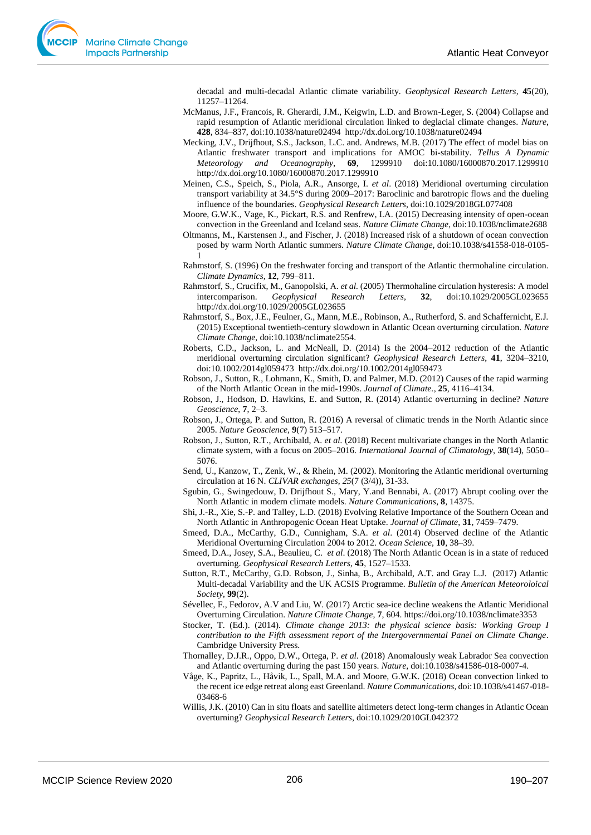decadal and multi-decadal Atlantic climate variability. *Geophysical Research Letters*, **45**(20), 11257–11264.

- McManus, J.F., Francois, R. Gherardi, J.M., Keigwin, L.D. and Brown-Leger, S. (2004) Collapse and rapid resumption of Atlantic meridional circulation linked to deglacial climate changes. *Nature*, **428**, 834–837, doi:10.1038/nature02494 http://dx.doi.org/10.1038/nature02494
- Mecking, J.V., Drijfhout, S.S., Jackson, L.C. and. Andrews, M.B. (2017) The effect of model bias on Atlantic freshwater transport and implications for AMOC bi-stability. *Tellus A Dynamic Meteorology and Oceanography*, **69**, 1299910 doi:10.1080/16000870.2017.1299910 http://dx.doi.org/10.1080/16000870.2017.1299910
- Meinen, C.S., Speich, S., Piola, A.R., Ansorge, I. *et al*. (2018) Meridional overturning circulation transport variability at 34.5°S during 2009–2017: Baroclinic and barotropic flows and the dueling influence of the boundaries. *Geophysical Research Letters,* doi:10.1029/2018GL077408
- Moore, G.W.K., Vage, K., Pickart, R.S. and Renfrew, I.A. (2015) Decreasing intensity of open-ocean convection in the Greenland and Iceland seas. *Nature Climate Change*, doi:10.1038/nclimate2688
- Oltmanns, M., Karstensen J., and Fischer, J. (2018) Increased risk of a shutdown of ocean convection posed by warm North Atlantic summers. *Nature Climate Change*, doi:10.1038/s41558-018-0105- 1
- Rahmstorf, S. (1996) On the freshwater forcing and transport of the Atlantic thermohaline circulation. *Climate Dynamics*, **12**, 799–811.
- Rahmstorf, S., Crucifix, M., Ganopolski, A. *et al.* (2005) Thermohaline circulation hysteresis: A model intercomparison. *Geophysical Research Letters*, **32**, doi:10.1029/2005GL023655 http://dx.doi.org/10.1029/2005GL023655
- Rahmstorf, S., Box, J.E., Feulner, G., Mann, M.E., Robinson, A., Rutherford, S. and Schaffernicht, E.J. (2015) Exceptional twentieth-century slowdown in Atlantic Ocean overturning circulation. *Nature Climate Change*, doi:10.1038/nclimate2554.
- Roberts, C.D., Jackson, L. and McNeall, D. (2014) Is the 2004–2012 reduction of the Atlantic meridional overturning circulation significant? *Geophysical Research Letters*, **41**, 3204–3210, doi:10.1002/2014gl059473 http://dx.doi.org/10.1002/2014gl059473
- Robson, J., Sutton, R., Lohmann, K., Smith, D. and Palmer, M.D. (2012) Causes of the rapid warming of the North Atlantic Ocean in the mid-1990s. *Journal of Climate.*, **25**, 4116–4134.
- Robson, J., Hodson, D. Hawkins, E. and Sutton, R. (2014) Atlantic overturning in decline? *Nature Geoscience*, **7**, 2–3.
- Robson, J., Ortega, P. and Sutton, R. (2016) A reversal of climatic trends in the North Atlantic since 2005. *Nature Geoscience,* **9**(7) 513–517.
- Robson, J., Sutton, R.T., Archibald, A. *et al.* (2018) Recent multivariate changes in the North Atlantic climate system, with a focus on 2005–2016. *International Journal of Climatology*, **38**(14), 5050– 5076.
- Send, U., Kanzow, T., Zenk, W., & Rhein, M. (2002). Monitoring the Atlantic meridional overturning circulation at 16 N. *CLIVAR exchanges*, *25*(7 (3/4)), 31-33.
- Sgubin, G., Swingedouw, D. Drijfhout S., Mary, Y.and Bennabi, A. (2017) Abrupt cooling over the North Atlantic in modern climate models. *Nature Communications*, **8**, 14375.
- Shi, J.-R., Xie, S.-P. and Talley, L.D. (2018) Evolving Relative Importance of the Southern Ocean and North Atlantic in Anthropogenic Ocean Heat Uptake. *Journal of Climate*, **31**, 7459–7479.
- Smeed, D.A., McCarthy, G.D., Cunnigham, S.A. *et al*. (2014) Observed decline of the Atlantic Meridional Overturning Circulation 2004 to 2012. *Ocean Science*, **10**, 38–39.
- Smeed, D.A., Josey, S.A., Beaulieu, C. *et al*. (2018) The North Atlantic Ocean is in a state of reduced overturning. *Geophysical Research Letters*, **45**, 1527–1533.
- Sutton, R.T., McCarthy, G.D. Robson, J., Sinha, B., Archibald, A.T. and Gray L.J. (2017) Atlantic Multi-decadal Variability and the UK ACSIS Programme. *Bulletin of the American Meteoroloical Society*, **99**(2).
- Sévellec, F., Fedorov, A.V and Liu, W. (2017) Arctic sea-ice decline weakens the Atlantic Meridional Overturning Circulation. *Nature Climate Change*, **7**, 604. https://doi.org/10.1038/nclimate3353
- Stocker, T. (Ed.). (2014). *Climate change 2013: the physical science basis: Working Group I contribution to the Fifth assessment report of the Intergovernmental Panel on Climate Change*. Cambridge University Press.
- Thornalley, D.J.R., Oppo, D.W., Ortega, P. *et al.* (2018) Anomalously weak Labrador Sea convection and Atlantic overturning during the past 150 years. *Nature*, doi:10.1038/s41586-018-0007-4.
- Våge, K., Papritz, L., Håvik, L., Spall, M.A. and Moore, G.W.K. (2018) Ocean convection linked to the recent ice edge retreat along east Greenland. *Nature Communications*, doi:10.1038/s41467-018- 03468-6
- Willis, J.K. (2010) Can in situ floats and satellite altimeters detect long-term changes in Atlantic Ocean overturning? *Geophysical Research Letters*, doi:10.1029/2010GL042372